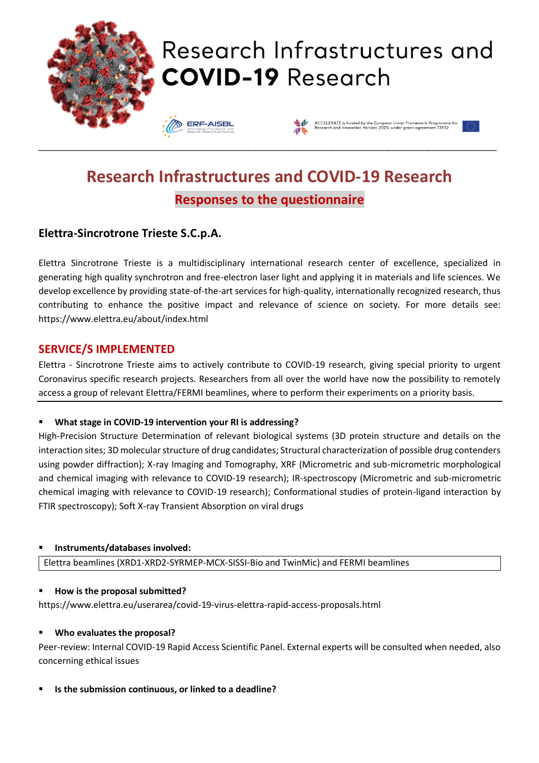

# Research Infrastructures and **COVID-19 Research**

**ERF-AISBL** 



# **Research Infrastructures and COVID-19 Research Responses to the questionnaire**

\_\_\_\_\_\_\_\_\_\_\_\_\_\_\_\_\_\_\_\_\_\_\_\_\_\_\_\_\_\_\_\_\_\_\_\_\_\_\_\_\_\_\_\_\_\_\_\_\_\_\_\_\_\_\_\_\_\_\_\_\_\_\_\_\_\_\_\_\_\_\_\_\_\_\_\_\_\_\_\_\_\_\_\_\_\_\_\_\_\_\_\_\_\_\_\_\_\_\_\_\_\_\_\_\_\_\_\_\_\_\_\_\_\_

### **Elettra-Sincrotrone Trieste S.C.p.A.**

Elettra Sincrotrone Trieste is a multidisciplinary international research center of excellence, specialized in generating high quality synchrotron and free-electron laser light and applying it in materials and life sciences. We develop excellence by providing state-of-the-art services for high-quality, internationally recognized research, thus contributing to enhance the positive impact and relevance of science on society. For more details see: https://www.elettra.eu/about/index.html

#### **SERVICE/S IMPLEMENTED**

Elettra - Sincrotrone Trieste aims to actively contribute to COVID-19 research, giving special priority to urgent Coronavirus specific research projects. Researchers from all over the world have now the possibility to remotely access a group of relevant Elettra/FERMI beamlines, where to perform their experiments on a priority basis.

#### What stage in COVID-19 intervention your RI is addressing?

High-Precision Structure Determination of relevant biological systems (3D protein structure and details on the interaction sites; 3D molecular structure of drug candidates; Structural characterization of possible drug contenders using powder diffraction); X-ray Imaging and Tomography, XRF (Micrometric and sub-micrometric morphological and chemical imaging with relevance to COVID-19 research); IR-spectroscopy (Micrometric and sub-micrometric chemical imaging with relevance to COVID-19 research); Conformational studies of protein-ligand interaction by FTIR spectroscopy); Soft X-ray Transient Absorption on viral drugs

#### ▪ **Instruments/databases involved:**

Elettra beamlines (XRD1-XRD2-SYRMEP-MCX-SISSI-Bio and TwinMic) and FERMI beamlines

#### ▪ **How is the proposal submitted?**

https://www.elettra.eu/userarea/covid-19-virus-elettra-rapid-access-proposals.html

#### ▪ **Who evaluates the proposal?**

Peer-review: Internal COVID-19 Rapid Access Scientific Panel. External experts will be consulted when needed, also concerning ethical issues

▪ **Is the submission continuous, or linked to a deadline?**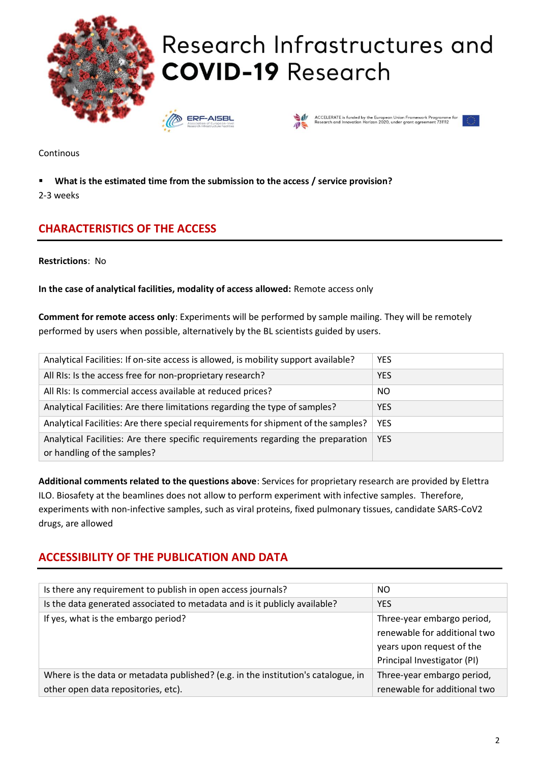

Research Infrastructures and **COVID-19 Research** 





.<br>CCELERATE is funded by the European Union Framework Programme<br>esearch and Innovation Horizon 2020, under grant agreement 731112

Continous

▪ **What is the estimated time from the submission to the access / service provision?**

2-3 weeks

# **CHARACTERISTICS OF THE ACCESS**

**Restrictions**: No

**In the case of analytical facilities, modality of access allowed:** Remote access only

**Comment for remote access only**: Experiments will be performed by sample mailing. They will be remotely performed by users when possible, alternatively by the BL scientists guided by users.

| Analytical Facilities: If on-site access is allowed, is mobility support available? | <b>YES</b> |
|-------------------------------------------------------------------------------------|------------|
| All RIs: Is the access free for non-proprietary research?                           | <b>YES</b> |
| All RIs: Is commercial access available at reduced prices?                          | NO.        |
| Analytical Facilities: Are there limitations regarding the type of samples?         | <b>YES</b> |
| Analytical Facilities: Are there special requirements for shipment of the samples?  | <b>YES</b> |
| Analytical Facilities: Are there specific requirements regarding the preparation    | <b>YES</b> |
| or handling of the samples?                                                         |            |

**Additional comments related to the questions above**: Services for proprietary research are provided by Elettra ILO. Biosafety at the beamlines does not allow to perform experiment with infective samples. Therefore, experiments with non-infective samples, such as viral proteins, fixed pulmonary tissues, candidate SARS-CoV2 drugs, are allowed

## **ACCESSIBILITY OF THE PUBLICATION AND DATA**

| Is there any requirement to publish in open access journals?                      | NO.                          |
|-----------------------------------------------------------------------------------|------------------------------|
| Is the data generated associated to metadata and is it publicly available?        | <b>YES</b>                   |
| If yes, what is the embargo period?                                               | Three-year embargo period,   |
|                                                                                   | renewable for additional two |
|                                                                                   | years upon request of the    |
|                                                                                   | Principal Investigator (PI)  |
| Where is the data or metadata published? (e.g. in the institution's catalogue, in | Three-year embargo period,   |
| other open data repositories, etc).                                               | renewable for additional two |